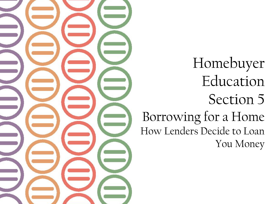

Homebuyer Education Section 5 Borrowing for a Home How Lenders Decide to Loan You Money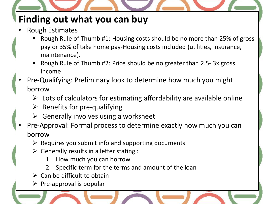### **Finding out what you can buy**

- Rough Estimates
	- Rough Rule of Thumb #1: Housing costs should be no more than 25% of gross pay or 35% of take home pay-Housing costs included (utilities, insurance, maintenance).
	- Rough Rule of Thumb #2: Price should be no greater than 2.5-3x gross income
- Pre-Qualifying: Preliminary look to determine how much you might borrow
	- $\triangleright$  Lots of calculators for estimating affordability are available online
	- $\triangleright$  Benefits for pre-qualifying
	- $\triangleright$  Generally involves using a worksheet
- Pre-Approval: Formal process to determine exactly how much you can borrow
	- $\triangleright$  Requires you submit info and supporting documents
	- $\triangleright$  Generally results in a letter stating :
		- 1. How much you can borrow
		- 2. Specific term for the terms and amount of the loan
	- $\triangleright$  Can be difficult to obtain
	- $\triangleright$  Pre-approval is popular

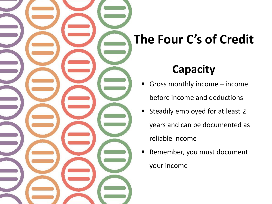

# **Capacity**

- Gross monthly income income before income and deductions
- **Steadily employed for at least 2** years and can be documented as reliable income
- Remember, you must document your income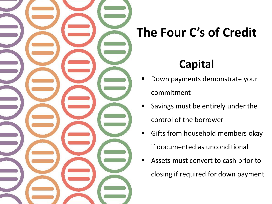

# **Capital**

- Down payments demonstrate your commitment
- Savings must be entirely under the control of the borrower
- Gifts from household members okay if documented as unconditional
- Assets must convert to cash prior to closing if required for down payment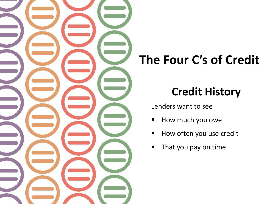

# **Credit History**

Lenders want to see

- **How much you owe**
- **How often you use credit**
- **That you pay on time**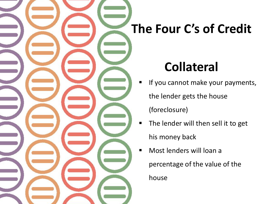# **Collateral**

- **If you cannot make your payments,** the lender gets the house (foreclosure)
- **The lender will then sell it to get** his money back
- Most lenders will loan a percentage of the value of the house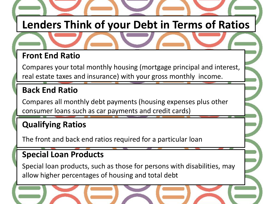# **Lenders Think of your Debt in Terms of Ratios**

### **Front End Ratio**

Compares your total monthly housing (mortgage principal and interest, real estate taxes and insurance) with your gross monthly income.

#### **Back End Ratio**

Compares all monthly debt payments (housing expenses plus other consumer loans such as car payments and credit cards)

#### **Qualifying Ratios**

The front and back end ratios required for a particular loan

#### **Special Loan Products**

Special loan products, such as those for persons with disabilities, may allow higher percentages of housing and total debt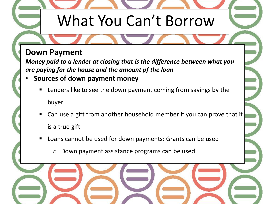# What You Can't Borrow

#### **Down Payment**

*Money paid to a lender at closing that is the difference between what you are paying for the house and the amount pf the loan*

- **Sources of down payment money**
	- Lenders like to see the down payment coming from savings by the buyer
	- Can use a gift from another household member if you can prove that it is a true gift
	- Loans cannot be used for down payments: Grants can be used
		- o Down payment assistance programs can be used

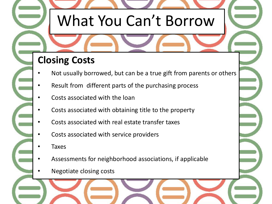# What You Can't Borrow

### **Closing Costs**

- Not usually borrowed, but can be a true gift from parents or others
- Result from different parts of the purchasing process
- Costs associated with the loan
- Costs associated with obtaining title to the property
- Costs associated with real estate transfer taxes
- Costs associated with service providers
- **Taxes**
- Assessments for neighborhood associations, if applicable
	- Negotiate closing costs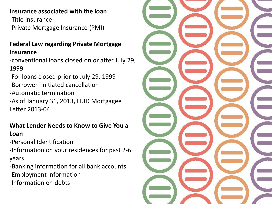#### **Insurance associated with the loan**

- -Title Insurance
- -Private Mortgage Insurance (PMI)

#### **Federal Law regarding Private Mortgage Insurance**

-conventional loans closed on or after July 29, 1999

-For loans closed prior to July 29, 1999 -Borrower- initiated cancellation -Automatic termination -As of January 31, 2013, HUD Mortgagee Letter 2013-04

#### **What Lender Needs to Know to Give You a Loan**

-Personal Identification

-Information on your residences for past 2-6 years

-Banking information for all bank accounts

- -Employment information
- -Information on debts

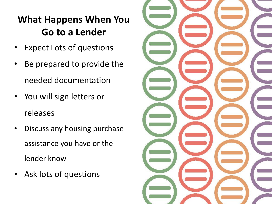### **What Happens When You Go to a Lender**

- **Expect Lots of questions**
- Be prepared to provide the needed documentation
- You will sign letters or releases
- Discuss any housing purchase assistance you have or the lender know
- Ask lots of questions

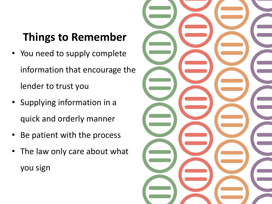## **Things to Remember**

- You need to supply complete information that encourage the lender to trust you
- Supplying information in a quick and orderly manner
- Be patient with the process
- The law only care about what you sign

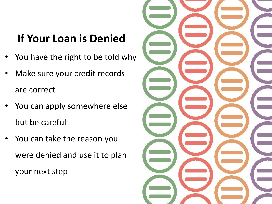## **If Your Loan is Denied**

- You have the right to be told why
- Make sure your credit records are correct
- You can apply somewhere else but be careful
- You can take the reason you were denied and use it to plan your next step